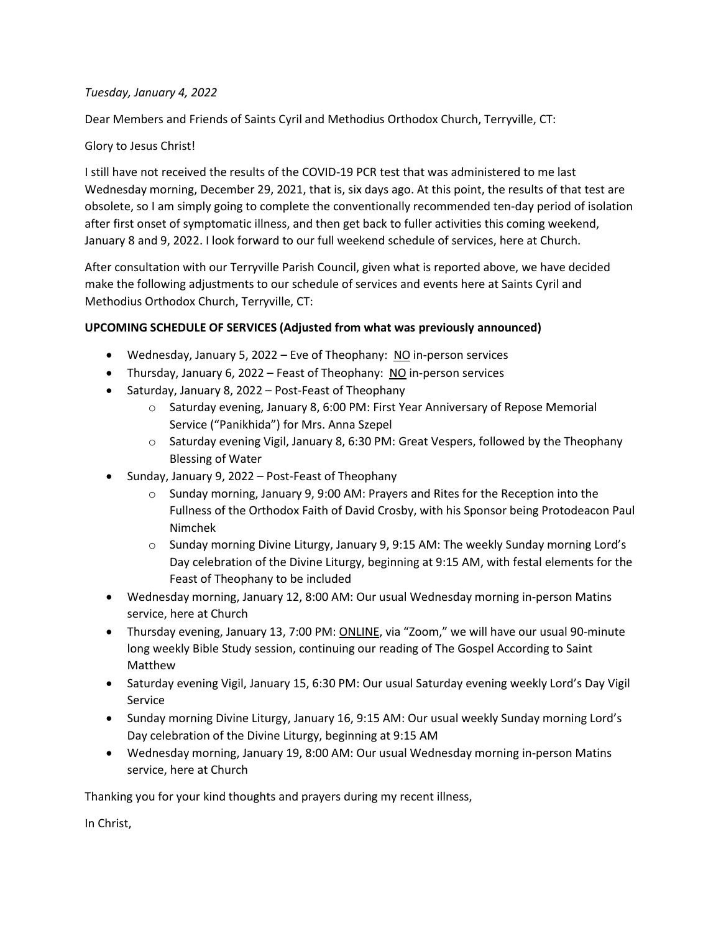## *Tuesday, January 4, 2022*

Dear Members and Friends of Saints Cyril and Methodius Orthodox Church, Terryville, CT:

## Glory to Jesus Christ!

I still have not received the results of the COVID-19 PCR test that was administered to me last Wednesday morning, December 29, 2021, that is, six days ago. At this point, the results of that test are obsolete, so I am simply going to complete the conventionally recommended ten-day period of isolation after first onset of symptomatic illness, and then get back to fuller activities this coming weekend, January 8 and 9, 2022. I look forward to our full weekend schedule of services, here at Church.

After consultation with our Terryville Parish Council, given what is reported above, we have decided make the following adjustments to our schedule of services and events here at Saints Cyril and Methodius Orthodox Church, Terryville, CT:

## **UPCOMING SCHEDULE OF SERVICES (Adjusted from what was previously announced)**

- Wednesday, January 5, 2022 Eve of Theophany: NO in-person services
- Thursday, January 6, 2022 Feast of Theophany: NO in-person services
- Saturday, January 8, 2022 Post-Feast of Theophany
	- o Saturday evening, January 8, 6:00 PM: First Year Anniversary of Repose Memorial Service ("Panikhida") for Mrs. Anna Szepel
	- $\circ$  Saturday evening Vigil, January 8, 6:30 PM: Great Vespers, followed by the Theophany Blessing of Water
- Sunday, January 9, 2022 Post-Feast of Theophany
	- $\circ$  Sunday morning, January 9, 9:00 AM: Prayers and Rites for the Reception into the Fullness of the Orthodox Faith of David Crosby, with his Sponsor being Protodeacon Paul Nimchek
	- o Sunday morning Divine Liturgy, January 9, 9:15 AM: The weekly Sunday morning Lord's Day celebration of the Divine Liturgy, beginning at 9:15 AM, with festal elements for the Feast of Theophany to be included
- Wednesday morning, January 12, 8:00 AM: Our usual Wednesday morning in-person Matins service, here at Church
- Thursday evening, January 13, 7:00 PM: ONLINE, via "Zoom," we will have our usual 90-minute long weekly Bible Study session, continuing our reading of The Gospel According to Saint Matthew
- Saturday evening Vigil, January 15, 6:30 PM: Our usual Saturday evening weekly Lord's Day Vigil Service
- Sunday morning Divine Liturgy, January 16, 9:15 AM: Our usual weekly Sunday morning Lord's Day celebration of the Divine Liturgy, beginning at 9:15 AM
- Wednesday morning, January 19, 8:00 AM: Our usual Wednesday morning in-person Matins service, here at Church

Thanking you for your kind thoughts and prayers during my recent illness,

In Christ,